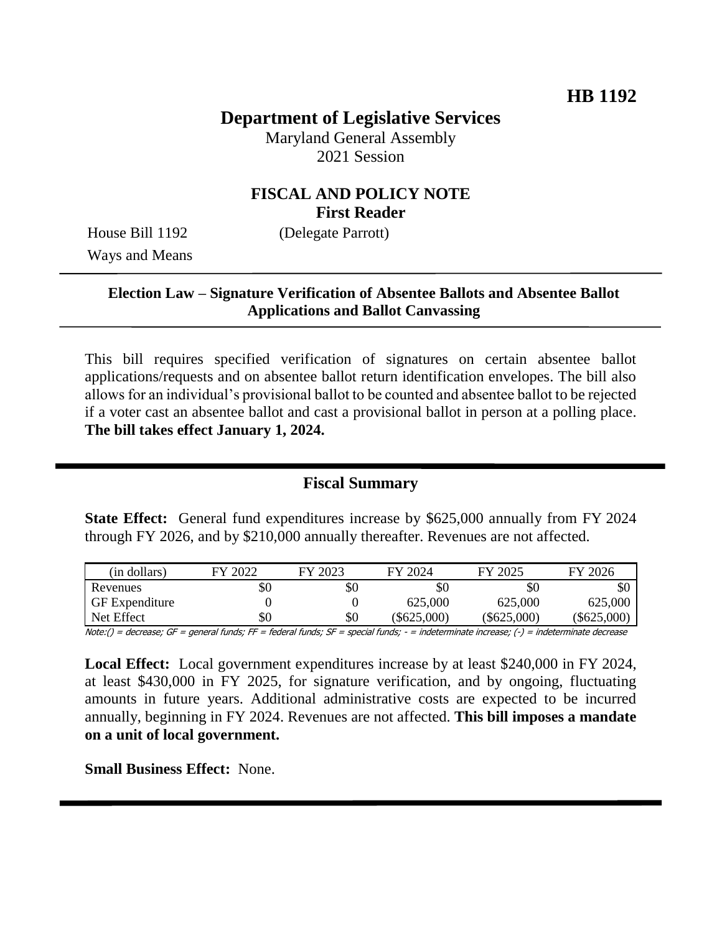# **Department of Legislative Services**

Maryland General Assembly 2021 Session

# **FISCAL AND POLICY NOTE First Reader**

Ways and Means

House Bill 1192 (Delegate Parrott)

# **Election Law – Signature Verification of Absentee Ballots and Absentee Ballot Applications and Ballot Canvassing**

This bill requires specified verification of signatures on certain absentee ballot applications/requests and on absentee ballot return identification envelopes. The bill also allows for an individual's provisional ballot to be counted and absentee ballot to be rejected if a voter cast an absentee ballot and cast a provisional ballot in person at a polling place. **The bill takes effect January 1, 2024.**

## **Fiscal Summary**

**State Effect:** General fund expenditures increase by \$625,000 annually from FY 2024 through FY 2026, and by \$210,000 annually thereafter. Revenues are not affected.

|                       |     |     |             | FY 2025     | 2026          |
|-----------------------|-----|-----|-------------|-------------|---------------|
| Revenues              | \$0 | \$0 | \$0         | \$0         | \$0           |
| <b>GF</b> Expenditure |     |     | 625,000     | 625,000     | 625,000       |
| Net Effect            | \$0 | \$0 | (\$625,000) | (\$625,000) | $(\$625,000)$ |

Note:() = decrease; GF = general funds; FF = federal funds; SF = special funds; - = indeterminate increase; (-) = indeterminate decrease

**Local Effect:** Local government expenditures increase by at least \$240,000 in FY 2024, at least \$430,000 in FY 2025, for signature verification, and by ongoing, fluctuating amounts in future years. Additional administrative costs are expected to be incurred annually, beginning in FY 2024. Revenues are not affected. **This bill imposes a mandate on a unit of local government.**

**Small Business Effect:** None.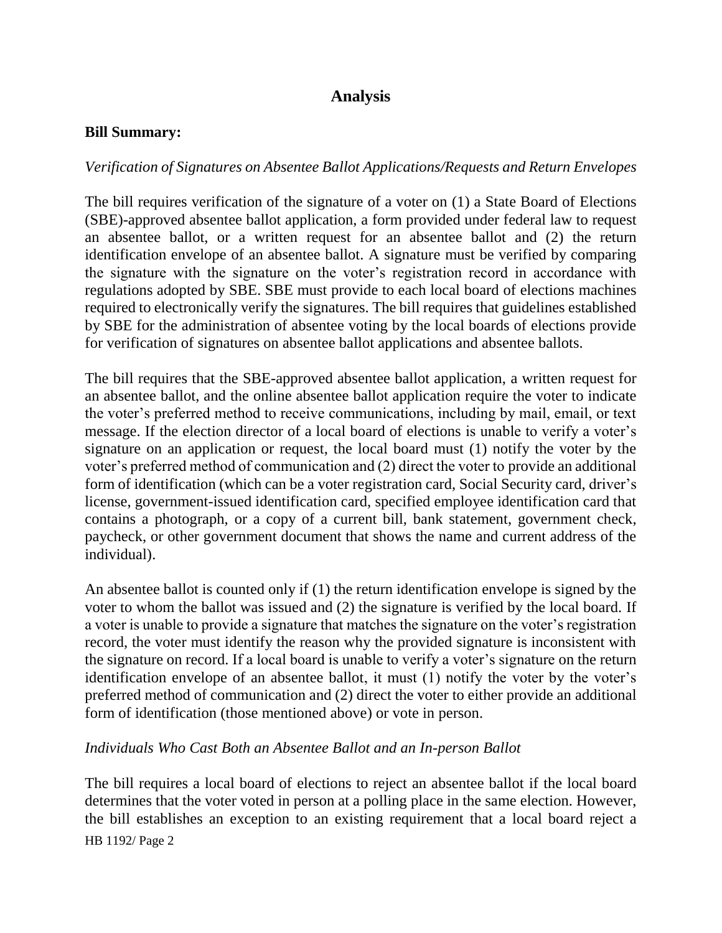# **Analysis**

#### **Bill Summary:**

#### *Verification of Signatures on Absentee Ballot Applications/Requests and Return Envelopes*

The bill requires verification of the signature of a voter on (1) a State Board of Elections (SBE)-approved absentee ballot application, a form provided under federal law to request an absentee ballot, or a written request for an absentee ballot and (2) the return identification envelope of an absentee ballot. A signature must be verified by comparing the signature with the signature on the voter's registration record in accordance with regulations adopted by SBE. SBE must provide to each local board of elections machines required to electronically verify the signatures. The bill requires that guidelines established by SBE for the administration of absentee voting by the local boards of elections provide for verification of signatures on absentee ballot applications and absentee ballots.

The bill requires that the SBE-approved absentee ballot application, a written request for an absentee ballot, and the online absentee ballot application require the voter to indicate the voter's preferred method to receive communications, including by mail, email, or text message. If the election director of a local board of elections is unable to verify a voter's signature on an application or request, the local board must (1) notify the voter by the voter's preferred method of communication and (2) direct the voter to provide an additional form of identification (which can be a voter registration card, Social Security card, driver's license, government-issued identification card, specified employee identification card that contains a photograph, or a copy of a current bill, bank statement, government check, paycheck, or other government document that shows the name and current address of the individual).

An absentee ballot is counted only if (1) the return identification envelope is signed by the voter to whom the ballot was issued and (2) the signature is verified by the local board. If a voter is unable to provide a signature that matches the signature on the voter's registration record, the voter must identify the reason why the provided signature is inconsistent with the signature on record. If a local board is unable to verify a voter's signature on the return identification envelope of an absentee ballot, it must (1) notify the voter by the voter's preferred method of communication and (2) direct the voter to either provide an additional form of identification (those mentioned above) or vote in person.

#### *Individuals Who Cast Both an Absentee Ballot and an In-person Ballot*

HB 1192/ Page 2 The bill requires a local board of elections to reject an absentee ballot if the local board determines that the voter voted in person at a polling place in the same election. However, the bill establishes an exception to an existing requirement that a local board reject a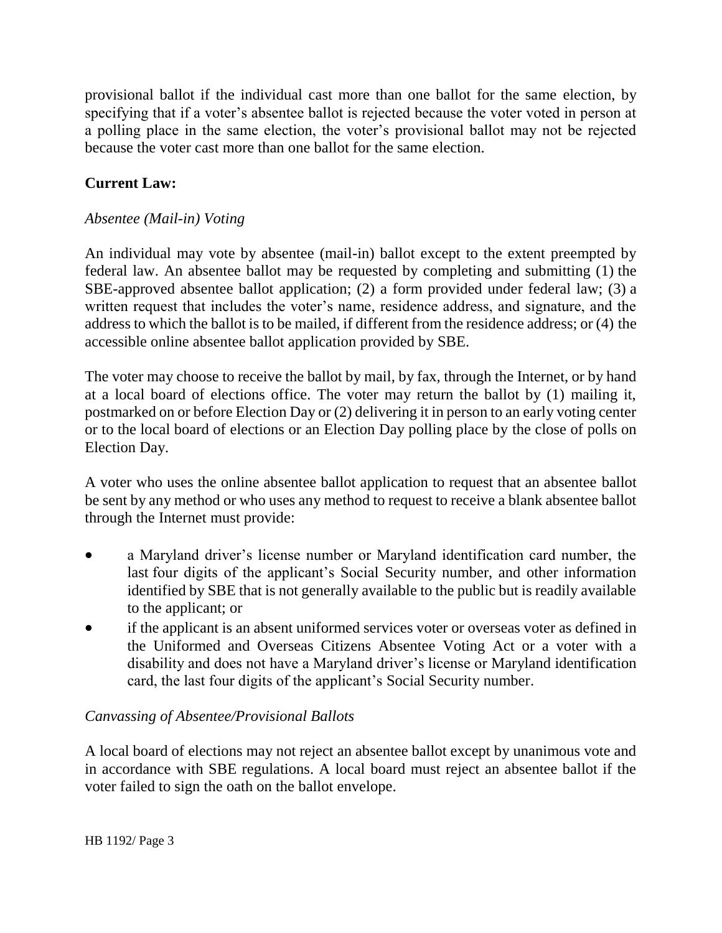provisional ballot if the individual cast more than one ballot for the same election, by specifying that if a voter's absentee ballot is rejected because the voter voted in person at a polling place in the same election, the voter's provisional ballot may not be rejected because the voter cast more than one ballot for the same election.

# **Current Law:**

### *Absentee (Mail-in) Voting*

An individual may vote by absentee (mail-in) ballot except to the extent preempted by federal law. An absentee ballot may be requested by completing and submitting (1) the SBE-approved absentee ballot application; (2) a form provided under federal law; (3) a written request that includes the voter's name, residence address, and signature, and the address to which the ballot is to be mailed, if different from the residence address; or (4) the accessible online absentee ballot application provided by SBE.

The voter may choose to receive the ballot by mail, by fax, through the Internet, or by hand at a local board of elections office. The voter may return the ballot by (1) mailing it, postmarked on or before Election Day or (2) delivering it in person to an early voting center or to the local board of elections or an Election Day polling place by the close of polls on Election Day.

A voter who uses the online absentee ballot application to request that an absentee ballot be sent by any method or who uses any method to request to receive a blank absentee ballot through the Internet must provide:

- a Maryland driver's license number or Maryland identification card number, the last four digits of the applicant's Social Security number, and other information identified by SBE that is not generally available to the public but is readily available to the applicant; or
- if the applicant is an absent uniformed services voter or overseas voter as defined in the Uniformed and Overseas Citizens Absentee Voting Act or a voter with a disability and does not have a Maryland driver's license or Maryland identification card, the last four digits of the applicant's Social Security number.

### *Canvassing of Absentee/Provisional Ballots*

A local board of elections may not reject an absentee ballot except by unanimous vote and in accordance with SBE regulations. A local board must reject an absentee ballot if the voter failed to sign the oath on the ballot envelope.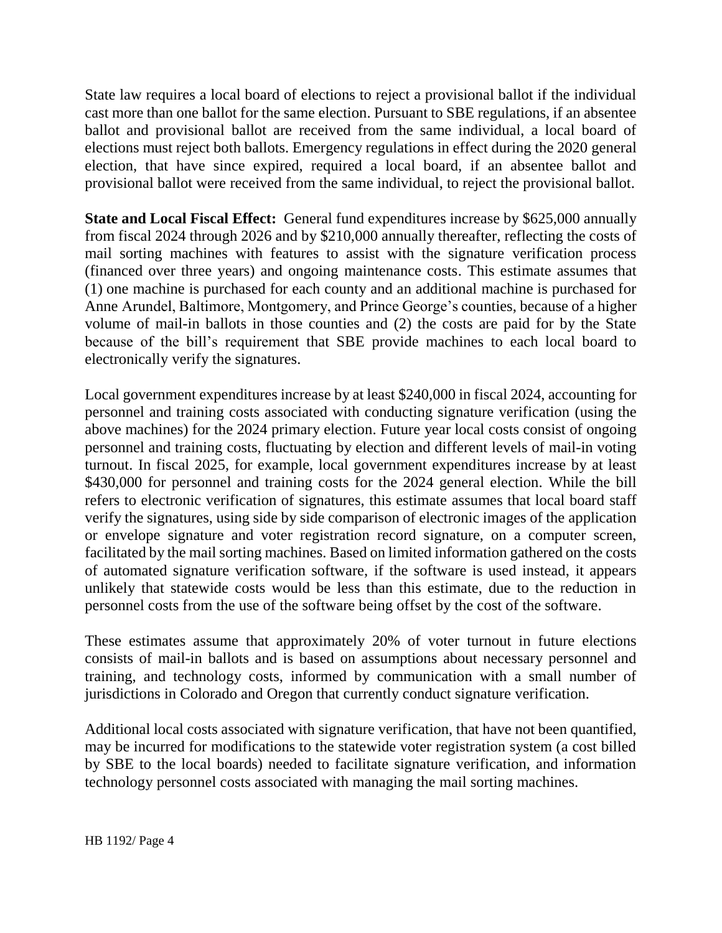State law requires a local board of elections to reject a provisional ballot if the individual cast more than one ballot for the same election. Pursuant to SBE regulations, if an absentee ballot and provisional ballot are received from the same individual, a local board of elections must reject both ballots. Emergency regulations in effect during the 2020 general election, that have since expired, required a local board, if an absentee ballot and provisional ballot were received from the same individual, to reject the provisional ballot.

**State and Local Fiscal Effect:** General fund expenditures increase by \$625,000 annually from fiscal 2024 through 2026 and by \$210,000 annually thereafter, reflecting the costs of mail sorting machines with features to assist with the signature verification process (financed over three years) and ongoing maintenance costs. This estimate assumes that (1) one machine is purchased for each county and an additional machine is purchased for Anne Arundel, Baltimore, Montgomery, and Prince George's counties, because of a higher volume of mail-in ballots in those counties and (2) the costs are paid for by the State because of the bill's requirement that SBE provide machines to each local board to electronically verify the signatures.

Local government expenditures increase by at least \$240,000 in fiscal 2024, accounting for personnel and training costs associated with conducting signature verification (using the above machines) for the 2024 primary election. Future year local costs consist of ongoing personnel and training costs, fluctuating by election and different levels of mail-in voting turnout. In fiscal 2025, for example, local government expenditures increase by at least \$430,000 for personnel and training costs for the 2024 general election. While the bill refers to electronic verification of signatures, this estimate assumes that local board staff verify the signatures, using side by side comparison of electronic images of the application or envelope signature and voter registration record signature, on a computer screen, facilitated by the mail sorting machines. Based on limited information gathered on the costs of automated signature verification software, if the software is used instead, it appears unlikely that statewide costs would be less than this estimate, due to the reduction in personnel costs from the use of the software being offset by the cost of the software.

These estimates assume that approximately 20% of voter turnout in future elections consists of mail-in ballots and is based on assumptions about necessary personnel and training, and technology costs, informed by communication with a small number of jurisdictions in Colorado and Oregon that currently conduct signature verification.

Additional local costs associated with signature verification, that have not been quantified, may be incurred for modifications to the statewide voter registration system (a cost billed by SBE to the local boards) needed to facilitate signature verification, and information technology personnel costs associated with managing the mail sorting machines.